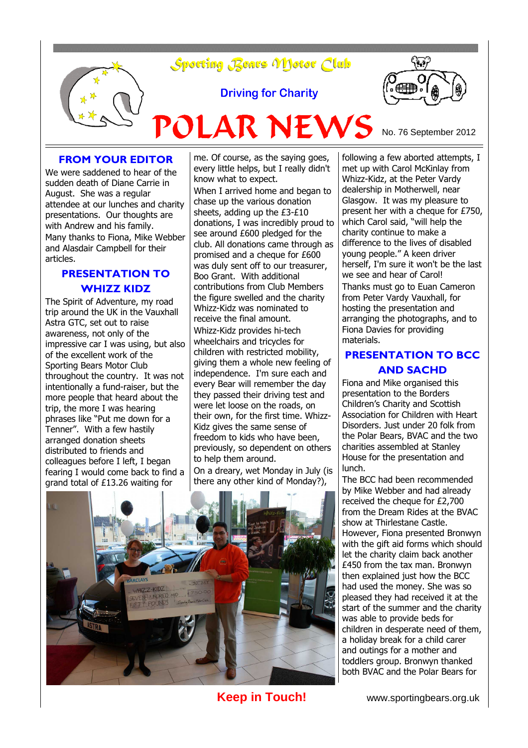

### **FROM YOUR EDITOR**

We were saddened to hear of the sudden death of Diane Carrie in August. She was a regular attendee at our lunches and charity presentations. Our thoughts are with Andrew and his family. Many thanks to Fiona, Mike Webber and Alasdair Campbell for their articles.

### **PRESENTATION TO WHIZZ KIDZ**

The Spirit of Adventure, my road trip around the UK in the Vauxhall Astra GTC, set out to raise awareness, not only of the impressive car I was using, but also of the excellent work of the Sporting Bears Motor Club throughout the country. It was not intentionally a fund-raiser, but the more people that heard about the trip, the more I was hearing phrases like "Put me down for a Tenner". With a few hastily arranged donation sheets distributed to friends and colleagues before I left, I began fearing I would come back to find a grand total of £13.26 waiting for

me. Of course, as the saying goes, every little helps, but I really didn't know what to expect.

When I arrived home and began to chase up the various donation sheets, adding up the £3-£10 donations, I was incredibly proud to see around £600 pledged for the club. All donations came through as promised and a cheque for £600 was duly sent off to our treasurer, Boo Grant. With additional contributions from Club Members the figure swelled and the charity Whizz-Kidz was nominated to receive the final amount. Whizz-Kidz provides hi-tech wheelchairs and tricycles for children with restricted mobility, giving them a whole new feeling of independence. I'm sure each and every Bear will remember the day they passed their driving test and were let loose on the roads, on their own, for the first time. Whizz-Kidz gives the same sense of freedom to kids who have been, previously, so dependent on others to help them around. On a dreary, wet Monday in July (is there any other kind of Monday?),





# **PRESENTATION TO BCC AND SACHD**

Fiona and Mike organised this presentation to the Borders Children's Charity and Scottish Association for Children with Heart Disorders. Just under 20 folk from the Polar Bears, BVAC and the two charities assembled at Stanley House for the presentation and lunch.

The BCC had been recommended by Mike Webber and had already received the cheque for £2,700 from the Dream Rides at the BVAC show at Thirlestane Castle. However, Fiona presented Bronwyn with the gift aid forms which should let the charity claim back another £450 from the tax man. Bronwyn then explained just how the BCC had used the money. She was so pleased they had received it at the start of the summer and the charity was able to provide beds for children in desperate need of them, a holiday break for a child carer and outings for a mother and toddlers group. Bronwyn thanked both BVAC and the Polar Bears for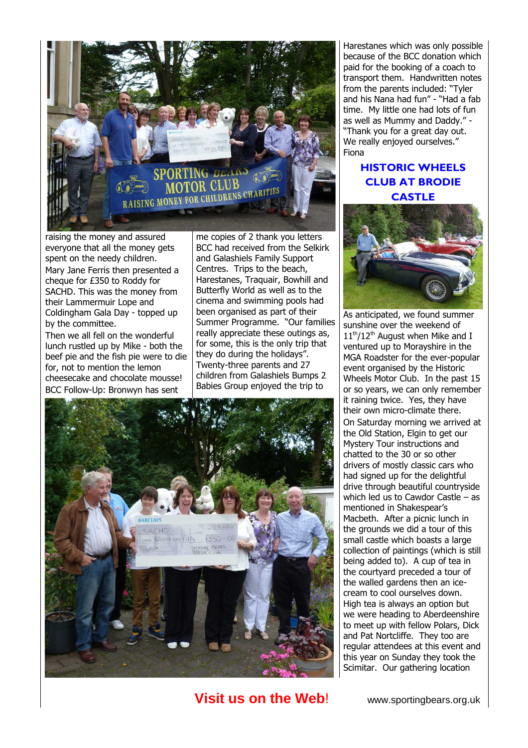

raising the money and assured everyone that all the money gets spent on the needy children. Mary Jane Ferris then presented a cheque for £350 to Roddy for SACHD. This was the money from their Lammermuir Lope and Coldingham Gala Day - topped up by the committee.

Then we all fell on the wonderful lunch rustled up by Mike - both the beef pie and the fish pie were to die for, not to mention the lemon cheesecake and chocolate mousse! BCC Follow-Up: Bronwyn has sent

me copies of 2 thank you letters BCC had received from the Selkirk and Galashiels Family Support Centres. Trips to the beach, Harestanes, Traquair, Bowhill and Butterfly World as well as to the cinema and swimming pools had been organised as part of their Summer Programme. "Our families really appreciate these outings as, for some, this is the only trip that they do during the holidays". Twenty-three parents and 27 children from Galashiels Bumps 2 Babies Group enjoyed the trip to



**Visit us on the Web!** www.sportingbears.org.uk

Harestanes which was only possible because of the BCC donation which paid for the booking of a coach to transport them. Handwritten notes from the parents included: "Tyler and his Nana had fun" - "Had a fab time. My little one had lots of fun as well as Mummy and Daddy." - "Thank you for a great day out. We really enjoyed ourselves." Fiona

# **HISTORIC WHEELS CLUB AT BRODIE CASTLE**



As anticipated, we found summer sunshine over the weekend of  $11<sup>th</sup>/12<sup>th</sup>$  August when Mike and I ventured up to Morayshire in the MGA Roadster for the ever-popular event organised by the Historic Wheels Motor Club. In the past 15 or so years, we can only remember it raining twice. Yes, they have their own micro-climate there. On Saturday morning we arrived at the Old Station, Elgin to get our Mystery Tour instructions and chatted to the 30 or so other drivers of mostly classic cars who had signed up for the delightful drive through beautiful countryside which led us to Cawdor Castle – as mentioned in Shakespear's Macbeth. After a picnic lunch in the grounds we did a tour of this small castle which boasts a large collection of paintings (which is still being added to). A cup of tea in the courtyard preceded a tour of the walled gardens then an icecream to cool ourselves down. High tea is always an option but we were heading to Aberdeenshire to meet up with fellow Polars, Dick and Pat Nortcliffe. They too are regular attendees at this event and this year on Sunday they took the Scimitar. Our gathering location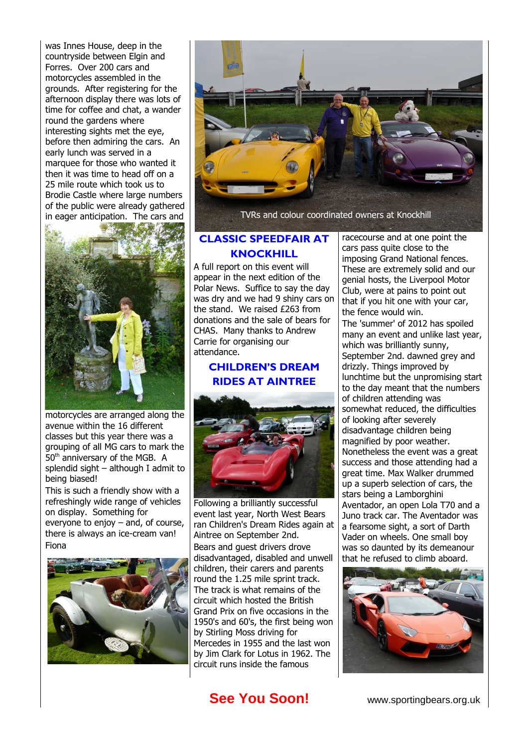was Innes House, deep in the countryside between Elgin and Forres. Over 200 cars and motorcycles assembled in the grounds. After registering for the afternoon display there was lots of time for coffee and chat, a wander round the gardens where interesting sights met the eye, before then admiring the cars. An early lunch was served in a marquee for those who wanted it then it was time to head off on a 25 mile route which took us to Brodie Castle where large numbers of the public were already gathered in eager anticipation. The cars and



motorcycles are arranged along the avenue within the 16 different classes but this year there was a grouping of all MG cars to mark the 50<sup>th</sup> anniversary of the MGB. A splendid sight – although I admit to being biased!

This is such a friendly show with a refreshingly wide range of vehicles on display. Something for everyone to enjoy – and, of course, there is always an ice-cream van! Fiona





TVRs and colour coordinated owners at Knockhill

### **CLASSIC SPEEDFAIR AT KNOCKHILL**

A full report on this event will appear in the next edition of the Polar News. Suffice to say the day was dry and we had 9 shiny cars on the stand. We raised £263 from donations and the sale of bears for CHAS. Many thanks to Andrew Carrie for organising our attendance.

## **CHILDREN'S DREAM RIDES AT AINTREE**



Following a brilliantly successful event last year, North West Bears ran Children's Dream Rides again at Aintree on September 2nd. Bears and guest drivers drove disadvantaged, disabled and unwell children, their carers and parents round the 1.25 mile sprint track. The track is what remains of the circuit which hosted the British Grand Prix on five occasions in the 1950's and 60's, the first being won by Stirling Moss driving for Mercedes in 1955 and the last won by Jim Clark for Lotus in 1962. The circuit runs inside the famous

racecourse and at one point the cars pass quite close to the imposing Grand National fences. These are extremely solid and our genial hosts, the Liverpool Motor Club, were at pains to point out that if you hit one with your car, the fence would win.

The 'summer' of 2012 has spoiled many an event and unlike last year, which was brilliantly sunny, September 2nd. dawned grey and drizzly. Things improved by lunchtime but the unpromising start to the day meant that the numbers of children attending was somewhat reduced, the difficulties of looking after severely disadvantage children being magnified by poor weather. Nonetheless the event was a great success and those attending had a great time. Max Walker drummed up a superb selection of cars, the stars being a Lamborghini Aventador, an open Lola T70 and a Juno track car. The Aventador was a fearsome sight, a sort of Darth Vader on wheels. One small boy was so daunted by its demeanour that he refused to climb aboard.



# **See You Soon!** www.sportingbears.org.uk